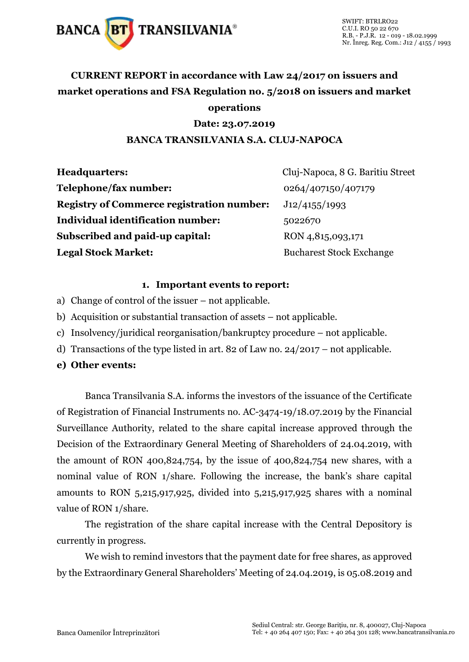

### **CURRENT REPORT in accordance with Law 24/2017 on issuers and market operations and FSA Regulation no. 5/2018 on issuers and market operations**

#### **Date: 23.07.2019**

#### **BANCA TRANSILVANIA S.A. CLUJ-NAPOCA**

| <b>Headquarters:</b>                             | Cluj-Napoca, 8 G. Baritiu Street |
|--------------------------------------------------|----------------------------------|
| Telephone/fax number:                            | 0264/407150/407179               |
| <b>Registry of Commerce registration number:</b> | J12/4155/1993                    |
| <b>Individual identification number:</b>         | 5022670                          |
| Subscribed and paid-up capital:                  | RON 4,815,093,171                |
| <b>Legal Stock Market:</b>                       | <b>Bucharest Stock Exchange</b>  |

#### **1. Important events to report:**

- a) Change of control of the issuer not applicable.
- b) Acquisition or substantial transaction of assets not applicable.
- c) Insolvency/juridical reorganisation/bankruptcy procedure not applicable.
- d) Transactions of the type listed in art. 82 of Law no. 24/2017 not applicable.
- **e) Other events:**

Banca Transilvania S.A. informs the investors of the issuance of the Certificate of Registration of Financial Instruments no. AC-3474-19/18.07.2019 by the Financial Surveillance Authority, related to the share capital increase approved through the Decision of the Extraordinary General Meeting of Shareholders of 24.04.2019, with the amount of RON 400,824,754, by the issue of 400,824,754 new shares, with a nominal value of RON 1/share. Following the increase, the bank's share capital amounts to RON 5,215,917,925, divided into 5,215,917,925 shares with a nominal value of RON 1/share.

The registration of the share capital increase with the Central Depository is currently in progress.

We wish to remind investors that the payment date for free shares, as approved by the Extraordinary General Shareholders' Meeting of 24.04.2019, is 05.08.2019 and